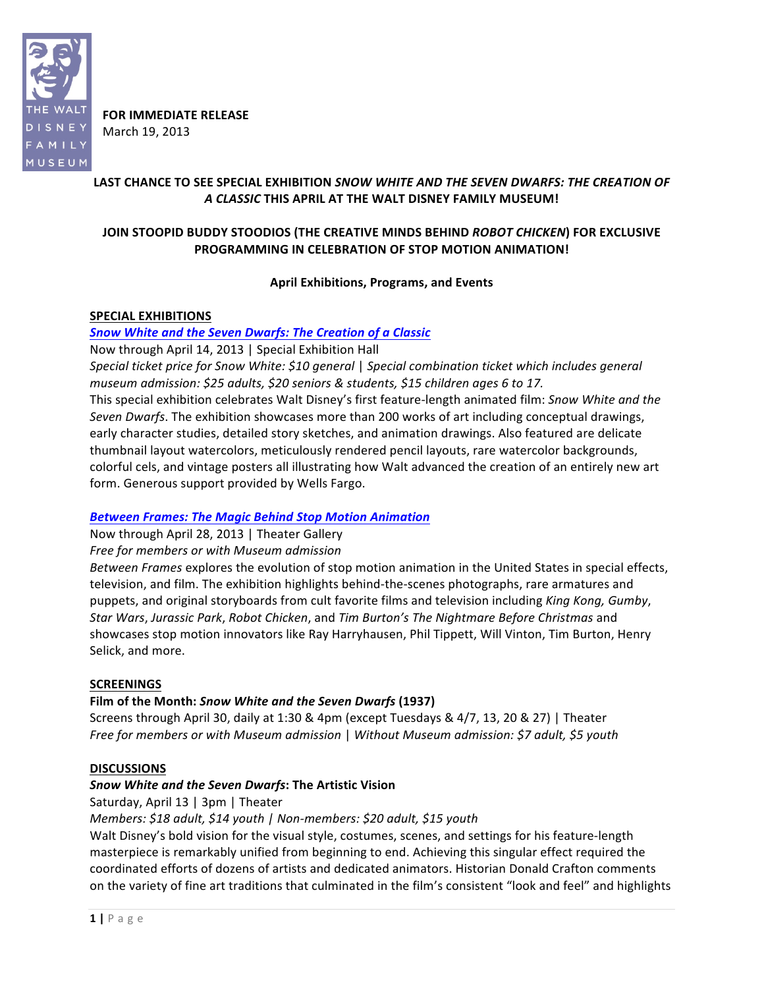

**FOR IMMEDIATE RELEASE** March 19, 2013

# LAST CHANCE TO SEE SPECIAL EXHIBITION *SNOW WHITE AND THE SEVEN DWARFS: THE CREATION OF A%CLASSIC* **THIS"APRIL AT"THE"WALT"DISNEY"FAMILY"MUSEUM!**

# JOIN STOOPID BUDDY STOODIOS (THE CREATIVE MINDS BEHIND *ROBOT CHICKEN*) FOR EXCLUSIVE PROGRAMMING IN CELEBRATION OF STOP MOTION ANIMATION!

### **April Exhibitions, Programs, and"Events**

### **SPECIAL EXHIBITIONS**

# **Snow White and the Seven Dwarfs: The Creation of a Classic**

Now through April 14, 2013 | Special Exhibition Hall

*Special ticket price for Snow White: \$10 general | Special combination ticket which includes general museum admission:* \$25 adults, \$20 seniors & students, \$15 children ages 6 to 17.

This special exhibition celebrates Walt Disney's first feature-length animated film: Snow White and the *Seven Dwarfs*. The exhibition showcases more than 200 works of art including conceptual drawings, early character studies, detailed story sketches, and animation drawings. Also featured are delicate thumbnail layout watercolors, meticulously rendered pencil layouts, rare watercolor backgrounds, colorful cels, and vintage posters all illustrating how Walt advanced the creation of an entirely new art form. Generous support provided by Wells Fargo.

# *Between%Frames:%The%Magic%Behind Stop%Motion%Animation*

Now through April 28, 2013 | Theater Gallery Free for members or with Museum admission

*Between Frames* explores the evolution of stop motion animation in the United States in special effects, television, and film. The exhibition highlights behind-the-scenes photographs, rare armatures and puppets, and original storyboards from cult favorite films and television including *King Kong, Gumby*, *Star(Wars*, *Jurassic(Park*, *Robot(Chicken*, and *Tim(Burton's(The(Nightmare(Before(Christmas* and) showcases stop motion innovators like Ray Harryhausen, Phil Tippett, Will Vinton, Tim Burton, Henry Selick, and more.

### **SCREENINGS"**

# **Film of the Month:** *Snow White and the Seven Dwarfs* **(1937)**

Screens through April 30, daily at 1:30 & 4pm (except Tuesdays &  $4/7$ , 13, 20 & 27) | Theater *Free for members or with Museum admission* | Without Museum admission: \$7 adult, \$5 youth

### **DISCUSSIONS**

### *Snow%White%and%the%Seven%Dwarfs***:"The"Artistic"Vision**

Saturday, April 13 | 3pm | Theater

*Members:* \$18 adult, \$14 youth | Non-members: \$20 adult, \$15 youth

Walt Disney's bold vision for the visual style, costumes, scenes, and settings for his feature-length masterpiece is remarkably unified from beginning to end. Achieving this singular effect required the coordinated efforts of dozens of artists and dedicated animators. Historian Donald Crafton comments on the variety of fine art traditions that culminated in the film's consistent "look and feel" and highlights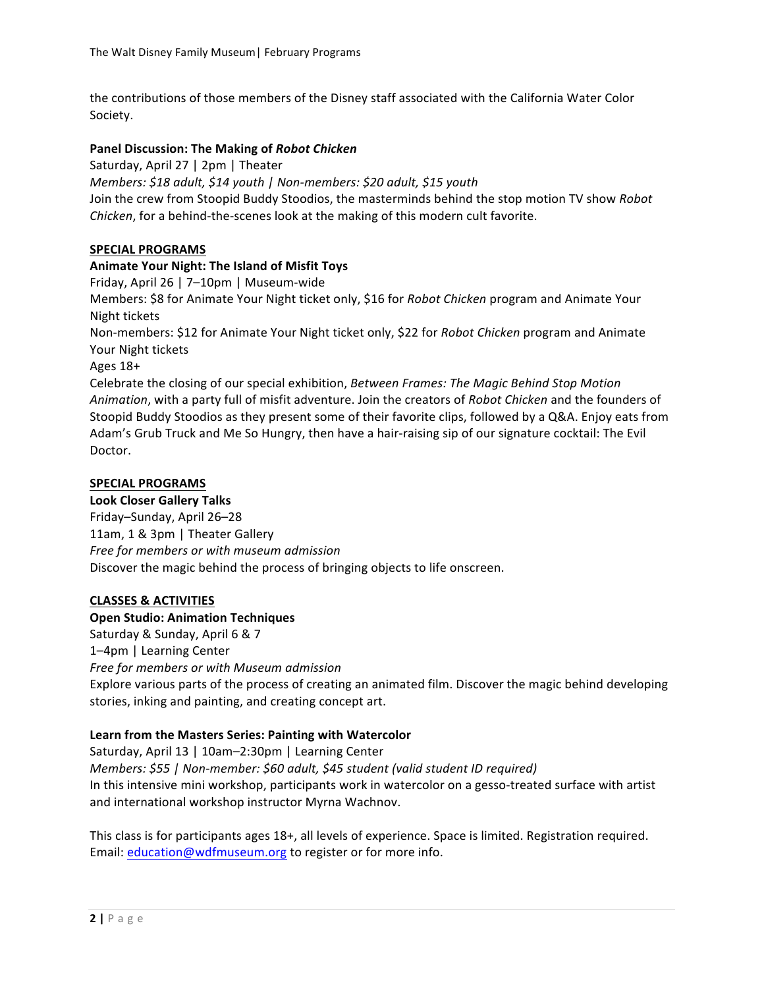the contributions of those members of the Disney staff associated with the California Water Color Society.

### Panel Discussion: The Making of Robot Chicken

Saturday, April 27 | 2pm | Theater *Members:* \$18 adult, \$14 youth | Non-members: \$20 adult, \$15 youth Join the crew from Stoopid Buddy Stoodios, the masterminds behind the stop motion TV show Robot *Chicken*, for a behind-the-scenes look at the making of this modern cult favorite.

### SPECIAL PROGRAMS

### Animate Your Night: The Island of Misfit Toys

Friday, April 26 | 7–10pm | Museum-wide

Members: \$8 for Animate Your Night ticket only, \$16 for *Robot Chicken* program and Animate Your Night tickets

Non-members: \$12 for Animate Your Night ticket only, \$22 for *Robot Chicken* program and Animate Your Night tickets

Ages 18+

Celebrate the closing of our special exhibition, Between Frames: The Magic Behind Stop Motion Animation, with a party full of misfit adventure. Join the creators of *Robot Chicken* and the founders of Stoopid Buddy Stoodios as they present some of their favorite clips, followed by a Q&A. Enjoy eats from Adam's Grub Truck and Me So Hungry, then have a hair-raising sip of our signature cocktail: The Evil Doctor.

### SPECIAL PROGRAMS

### **Look"Closer Gallery"Talks**

Friday–Sunday, April 26–28 11am, 1 & 3pm | Theater Gallery *Free for(members(or with museum(admission* Discover the magic behind the process of bringing objects to life onscreen.

### **CLASSES"& ACTIVITIES**

### **Open Studio: Animation Techniques**

Saturday & Sunday, April 6 & 7 1-4pm | Learning Center **Free for members or with Museum admission** Explore various parts of the process of creating an animated film. Discover the magic behind developing stories, inking and painting, and creating concept art.

### Learn from the Masters Series: Painting with Watercolor

Saturday, April 13 | 10am–2:30pm | Learning Center *Members:* \$55 *| Non-member: \$60 adult, \$45 student (valid student ID required)* In this intensive mini workshop, participants work in watercolor on a gesso-treated surface with artist and international workshop instructor Myrna Wachnov.

This class is for participants ages 18+, all levels of experience. Space is limited. Registration required. Email: education@wdfmuseum.org to register or for more info.